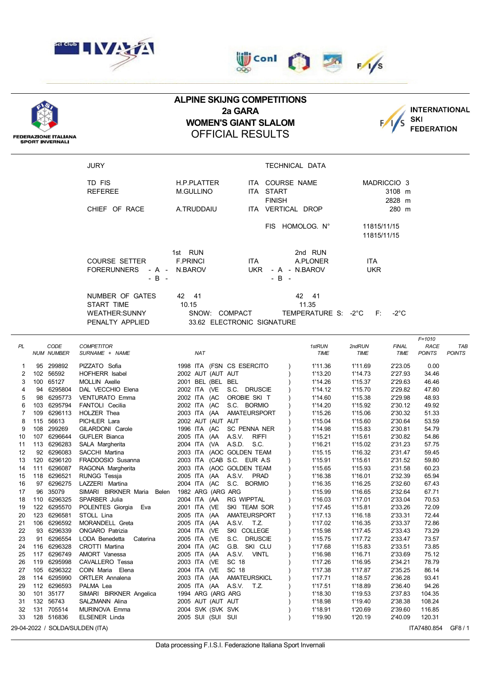





## **ALPINE SKIJNG COMPETITIONS 2a GARA WOMEN'S GIANT SLALOM** OFFICIAL RESULTS



**FEDERAZIONE ITALIANA<br>SPORT INVERNALI** 

| JURY                 |                  | TECHNICAL DATA                            |  |
|----------------------|------------------|-------------------------------------------|--|
| TD FIS               | H.P.PLATTER      | ITA COURSE NAME<br>MADRICCIO <sub>3</sub> |  |
| <b>REFEREE</b>       | <b>M.GULLINO</b> | ITA START<br>3108 m                       |  |
|                      |                  | <b>FINISH</b><br>2828 m                   |  |
| CHIEF OF RACE        | A.TRUDDAIU       | ITA VERTICAL DROP<br>280 m                |  |
|                      |                  | FIS HOMOLOG. N°<br>11815/11/15            |  |
|                      |                  | 11815/11/15                               |  |
|                      |                  |                                           |  |
|                      | 1st RUN          | 2nd RUN                                   |  |
| <b>COURSE SETTER</b> | <b>F.PRINCI</b>  | ITA.<br>A.PLONER<br>ITA.                  |  |
| <b>FORERUNNERS</b>   | - A - N.BAROV    | UKR<br><b>UKR</b><br>- A - N.BAROV        |  |
| $-B -$               |                  | $-B -$                                    |  |
| NUMBER OF GATES      | 42 41            | 42 41                                     |  |
| START TIME           | 10.15            | 11.35                                     |  |
| WEATHER:SUNNY        | SNOW:            | COMPACT<br>TEMPERATURE S: -2°C<br>F: -2°C |  |
| PENALTY APPLIED      |                  | 33.62 ELECTRONIC SIGNATURE                |  |

|           |     |                           |                                     |                             |                           |                |                       |                      | $F = 1010$                   |                             |
|-----------|-----|---------------------------|-------------------------------------|-----------------------------|---------------------------|----------------|-----------------------|----------------------|------------------------------|-----------------------------|
| <b>PL</b> |     | CODE<br><b>NUM NUMBER</b> | <b>COMPETITOR</b><br>SURNAME + NAME | <b>NAT</b>                  |                           | 1stRUN<br>TIME | 2ndRUN<br><b>TIME</b> | <b>FINAL</b><br>TIME | <b>RACE</b><br><b>POINTS</b> | <b>TAB</b><br><b>POINTS</b> |
|           |     |                           |                                     |                             |                           |                |                       |                      |                              |                             |
| 1         |     | 95 299892                 | PIZZATO Sofia                       | 1998 ITA (FSN CS ESERCITO   |                           | 1'11.36        | 1'11.69               | 2'23.05              | 0.00                         |                             |
| 2         |     | 102 56592                 | HOFHERR Isabel                      | 2002 AUT (AUT AUT           |                           | 1'13.20        | 1'14.73               | 2'27.93              | 34.46                        |                             |
| 3         |     | 100 65127                 | MOLLIN Axelle                       | 2001 BEL (BEL BEL           |                           | 1'14.26        | 1'15.37               | 2'29.63              | 46.46                        |                             |
| 4         |     | 94 6295804                | DAL VECCHIO Elena                   | 2002 ITA (VE                | S.C. DRUSCIE              | 1'14.12        | 1'15.70               | 2'29.82              | 47.80                        |                             |
| 5         |     | 98 6295773                | <b>VENTURATO Emma</b>               | 2002 ITA (AC                | OROBIE SKI T              | 1'14.60        | 1'15.38               | 2'29.98              | 48.93                        |                             |
| 6         |     | 103 6295794               | FANTOLI Cecilia                     | 2002 ITA (AC                | S.C. BORMIO               | 1'14.20        | 1'15.92               | 2'30.12              | 49.92                        |                             |
| 7         |     | 109 6296113               | <b>HOLZER Thea</b>                  |                             | 2003 ITA (AA AMATEURSPORT | 1'15.26        | 1'15.06               | 2'30.32              | 51.33                        |                             |
| 8         |     | 115 56613                 | PICHLER Lara                        | 2002 AUT (AUT AUT           |                           | 1'15.04        | 1'15.60               | 2'30.64              | 53.59                        |                             |
| 9         |     | 108 299269                | GILARDONI Carole                    | 1996 ITA (AC                | SC PENNA NER              | 1'14.98        | 1'15.83               | 2'30.81              | 54.79                        |                             |
| 10        |     | 107 6296644               | <b>GUFLER Bianca</b>                | 2005 ITA (AA A.S.V.         | <b>RIFFI</b>              | 1'15.21        | 1'15.61               | 2'30.82              | 54.86                        |                             |
| 11        |     | 113 6296283               | SALA Margherita                     | 2004 ITA (VA A.S.D.         | S.C.                      | 1'16.21        | 1'15.02               | 2'31.23              | 57.75                        |                             |
| 12        |     | 92 6296083                | SACCHI Martina                      | 2003 ITA (AOC GOLDEN TEAM   |                           | 1'15.15        | 1'16.32               | 2'31.47              | 59.45                        |                             |
| 13        |     | 120 6296120               | FRADDOSIO Susanna                   | 2003 ITA (CAB S.C. EUR A.S. |                           | 1'15.91        | 1'15.61               | 2'31.52              | 59.80                        |                             |
| 14        | 111 | 6296087                   | RAGONA Margherita                   | 2003 ITA (AOC GOLDEN TEAM   |                           | 1'15.65        | 1'15.93               | 2'31.58              | 60.23                        |                             |
| 15        |     | 118 6296521               | RUNGG Tessja                        | 2005 ITA (AA A.S.V. PRAD    |                           | 1'16.38        | 1'16.01               | 2'32.39              | 65.94                        |                             |
| 16        |     | 97 6296275                | LAZZERI Martina                     | 2004 ITA (AC                | S.C. BORMIO               | 1'16.35        | 1'16.25               | 2'32.60              | 67.43                        |                             |
| 17        |     | 96 35079                  | SIMARI BIRKNER Maria<br>Belen       | 1982 ARG (ARG ARG           |                           | 1'15.99        | 1'16.65               | 2'32.64              | 67.71                        |                             |
| 18        |     | 110 6296325               | SPARBER Julia                       | 2004 ITA (AA                | <b>RG WIPPTAL</b>         | 1'16.03        | 1'17.01               | 2'33.04              | 70.53                        |                             |
| 19        |     | 122 6295570               | POLENTES Giorgia<br>Eva             | 2001 ITA (VE                | SKI TEAM SOR              | 1'17.45        | 1'15.81               | 2'33.26              | 72.09                        |                             |
| 20        |     | 123 6296581               | STOLL Lina                          | 2005 ITA (AA                | AMATEURSPORT              | 1'17.13        | 1'16.18               | 2'33.31              | 72.44                        |                             |
| 21        |     | 106 6296592               | MORANDELL Greta                     | 2005 ITA (AA                | A.S.V. T.Z.               | 1'17.02        | 1'16.35               | 2'33.37              | 72.86                        |                             |
| 22        |     | 93 6296339                | <b>ONGARO Patrizia</b>              | 2004 ITA (VE                | SKI COLLEGE               | 1'15.98        | 1'17.45               | 2'33.43              | 73.29                        |                             |
| 23        |     | 91 6296554                | LODA Benedetta<br>Caterina          | 2005 ITA (VE                | S.C. DRUSCIE              | 1'15.75        | 1'17.72               | 2'33.47              | 73.57                        |                             |
| 24        |     | 116 6296328               | CROTTI Martina                      | 2004 ITA (AC                | G.B. SKI CLU              | 1'17.68        | 1'15.83               | 2'33.51              | 73.85                        |                             |
| 25        |     | 117 6296749               | AMORT Vanessa                       | 2005 ITA (AA                | A.S.V. VINTL              | 1'16.98        | 1'16.71               | 2'33.69              | 75.12                        |                             |
| 26        |     | 119 6295998               | CAVALLERO Tessa                     | 2003 ITA (VE                | SC 18                     | 1'17.26        | 1'16.95               | 2'34.21              | 78.79                        |                             |
| 27        |     | 105 6296322               | COIN Maria Elena                    | 2004 ITA (VE                | SC 18                     | 1'17.38        | 1'17.87               | 2'35.25              | 86.14                        |                             |
| 28        |     | 114 6295990               | <b>ORTLER Annalena</b>              | 2003 ITA (AA                | <b>AMATEURSKICL</b>       | 1'17.71        | 1'18.57               | 2'36.28              | 93.41                        |                             |
| 29        |     | 112 6296593               | PALMA Lea                           | 2005 ITA (AA A.S.V.         | T.Z.                      | 1'17.51        | 1'18.89               | 2'36.40              | 94.26                        |                             |
| 30        | 101 | 35177                     | SIMARI BIRKNER Angelica             | 1994 ARG (ARG ARG           |                           | 1'18.30        | 1'19.53               | 2'37.83              | 104.35                       |                             |
| 31        |     | 132 56743                 | SALZMANN Alina                      | 2005 AUT (AUT AUT           |                           | 1'18.98        | 1'19.40               | 2'38.38              | 108.24                       |                             |
| 32        | 131 | 705514                    | MURINOVA Emma                       | 2004 SVK (SVK SVK           |                           | 1'18.91        | 1'20.69               | 2'39.60              | 116.85                       |                             |
| 33        |     | 128 516836                | <b>ELSENER Linda</b>                | 2005 SUI (SUI SUI           |                           | 1'19.90        | 1'20.19               | 2'40.09              | 120.31                       |                             |
|           |     |                           | 29-04-2022 / SOLDA/SULDEN (ITA)     |                             |                           |                |                       |                      | ITA7480.854                  | GF8/1                       |